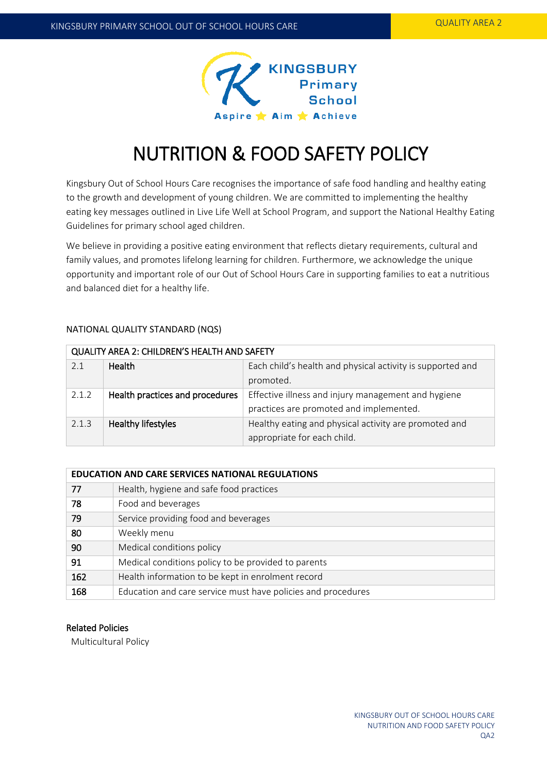

# NUTRITION & FOOD SAFETY POLICY

Kingsbury Out of School Hours Care recognises the importance of safe food handling and healthy eating to the growth and development of young children. We are committed to implementing the healthy eating key messages outlined in Live Life Well at School Program, and support the National Healthy Eating Guidelines for primary school aged children.

We believe in providing a positive eating environment that reflects dietary requirements, cultural and family values, and promotes lifelong learning for children. Furthermore, we acknowledge the unique opportunity and important role of our Out of School Hours Care in supporting families to eat a nutritious and balanced diet for a healthy life.

# NATIONAL QUALITY STANDARD (NQS)

| QUALITY AREA 2: CHILDREN'S HEALTH AND SAFETY |                                 |                                                            |  |  |
|----------------------------------------------|---------------------------------|------------------------------------------------------------|--|--|
| 2.1                                          | Health                          | Each child's health and physical activity is supported and |  |  |
|                                              |                                 | promoted.                                                  |  |  |
| 2.1.2                                        | Health practices and procedures | Effective illness and injury management and hygiene        |  |  |
|                                              |                                 | practices are promoted and implemented.                    |  |  |
| 2.1.3                                        | Healthy lifestyles              | Healthy eating and physical activity are promoted and      |  |  |
|                                              |                                 | appropriate for each child.                                |  |  |

# **EDUCATION AND CARE SERVICES NATIONAL REGULATIONS** 77 Health, hygiene and safe food practices

| 78  | Food and beverages                                           |  |
|-----|--------------------------------------------------------------|--|
| 79  | Service providing food and beverages                         |  |
| 80  | Weekly menu                                                  |  |
| 90  | Medical conditions policy                                    |  |
| 91  | Medical conditions policy to be provided to parents          |  |
| 162 | Health information to be kept in enrolment record            |  |
| 168 | Education and care service must have policies and procedures |  |

# Related Policies

Multicultural Policy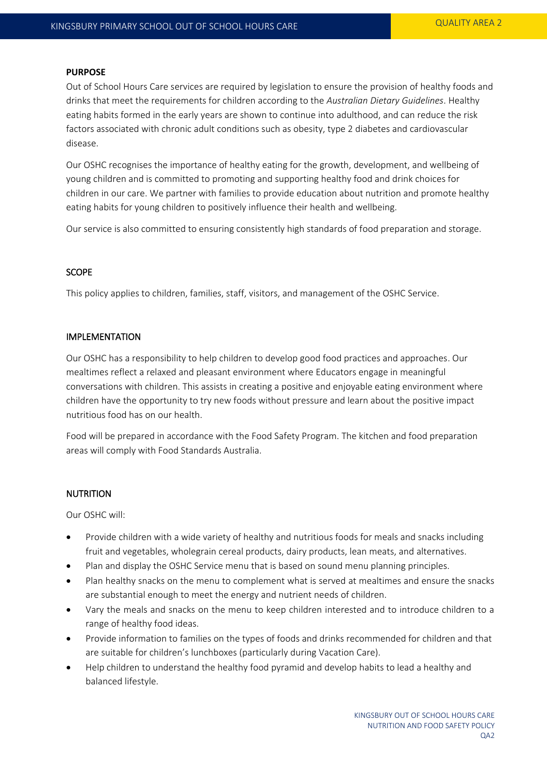#### **PURPOSE**

Out of School Hours Care services are required by legislation to ensure the provision of healthy foods and drinks that meet the requirements for children according to the *Australian Dietary Guidelines*. Healthy eating habits formed in the early years are shown to continue into adulthood, and can reduce the risk factors associated with chronic adult conditions such as obesity, type 2 diabetes and cardiovascular disease.

Our OSHC recognises the importance of healthy eating for the growth, development, and wellbeing of young children and is committed to promoting and supporting healthy food and drink choices for children in our care. We partner with families to provide education about nutrition and promote healthy eating habits for young children to positively influence their health and wellbeing.

Our service is also committed to ensuring consistently high standards of food preparation and storage.

# **SCOPE**

This policy applies to children, families, staff, visitors, and management of the OSHC Service.

#### IMPLEMENTATION

Our OSHC has a responsibility to help children to develop good food practices and approaches. Our mealtimes reflect a relaxed and pleasant environment where Educators engage in meaningful conversations with children. This assists in creating a positive and enjoyable eating environment where children have the opportunity to try new foods without pressure and learn about the positive impact nutritious food has on our health.

Food will be prepared in accordance with the Food Safety Program. The kitchen and food preparation areas will comply with Food Standards Australia.

#### NUTRITION

Our OSHC will:

- Provide children with a wide variety of healthy and nutritious foods for meals and snacks including fruit and vegetables, wholegrain cereal products, dairy products, lean meats, and alternatives.
- Plan and display the OSHC Service menu that is based on sound menu planning principles.
- Plan healthy snacks on the menu to complement what is served at mealtimes and ensure the snacks are substantial enough to meet the energy and nutrient needs of children.
- Vary the meals and snacks on the menu to keep children interested and to introduce children to a range of healthy food ideas.
- Provide information to families on the types of foods and drinks recommended for children and that are suitable for children's lunchboxes (particularly during Vacation Care).
- Help children to understand the healthy food pyramid and develop habits to lead a healthy and balanced lifestyle.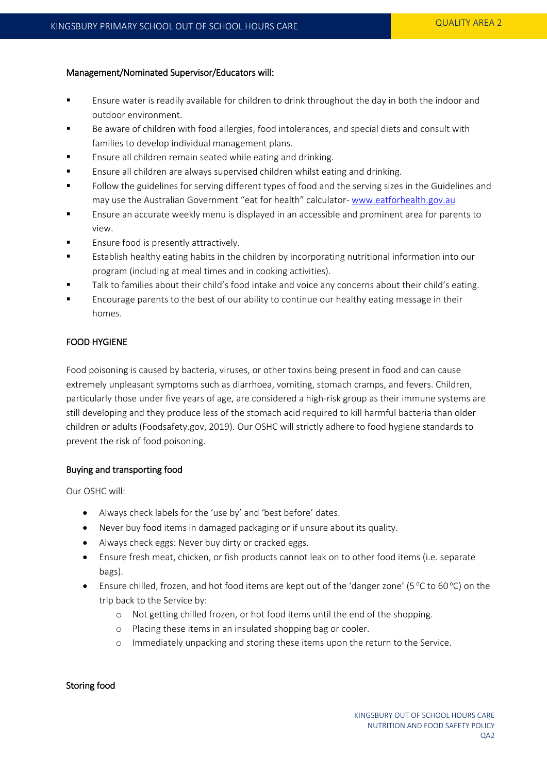# Management/Nominated Supervisor/Educators will:

- Ensure water is readily available for children to drink throughout the day in both the indoor and outdoor environment.
- Be aware of children with food allergies, food intolerances, and special diets and consult with families to develop individual management plans.
- Ensure all children remain seated while eating and drinking.
- **Ensure all children are always supervised children whilst eating and drinking.**
- Follow the guidelines for serving different types of food and the serving sizes in the Guidelines and may use the Australian Government "eat for health" calculator- [www.eatforhealth.gov.au](http://www.eatforhealth.gov.au/)
- Ensure an accurate weekly menu is displayed in an accessible and prominent area for parents to view.
- Ensure food is presently attractively.
- Establish healthy eating habits in the children by incorporating nutritional information into our program (including at meal times and in cooking activities).
- Talk to families about their child's food intake and voice any concerns about their child's eating.
- Encourage parents to the best of our ability to continue our healthy eating message in their homes.

# FOOD HYGIENE

Food poisoning is caused by bacteria, viruses, or other toxins being present in food and can cause extremely unpleasant symptoms such as diarrhoea, vomiting, stomach cramps, and fevers. Children, particularly those under five years of age, are considered a high-risk group as their immune systems are still developing and they produce less of the stomach acid required to kill harmful bacteria than older children or adults (Foodsafety.gov, 2019). Our OSHC will strictly adhere to food hygiene standards to prevent the risk of food poisoning.

# Buying and transporting food

Our OSHC will:

- Always check labels for the 'use by' and 'best before' dates.
- Never buy food items in damaged packaging or if unsure about its quality.
- Always check eggs: Never buy dirty or cracked eggs.
- Ensure fresh meat, chicken, or fish products cannot leak on to other food items (i.e. separate bags).
- Ensure chilled, frozen, and hot food items are kept out of the 'danger zone' (5 °C to 60 °C) on the trip back to the Service by:
	- o Not getting chilled frozen, or hot food items until the end of the shopping.
	- o Placing these items in an insulated shopping bag or cooler.
	- o Immediately unpacking and storing these items upon the return to the Service.

# Storing food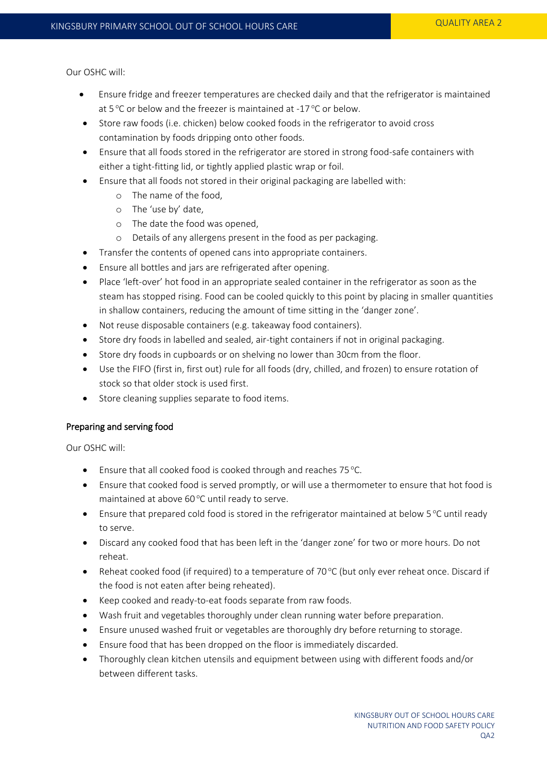Our OSHC will:

- Ensure fridge and freezer temperatures are checked daily and that the refrigerator is maintained at 5 °C or below and the freezer is maintained at -17 °C or below.
- Store raw foods (i.e. chicken) below cooked foods in the refrigerator to avoid cross contamination by foods dripping onto other foods.
- Ensure that all foods stored in the refrigerator are stored in strong food-safe containers with either a tight-fitting lid, or tightly applied plastic wrap or foil.
- Ensure that all foods not stored in their original packaging are labelled with:
	- o The name of the food,
	- o The 'use by' date,
	- o The date the food was opened,
	- o Details of any allergens present in the food as per packaging.
- Transfer the contents of opened cans into appropriate containers.
- Ensure all bottles and jars are refrigerated after opening.
- Place 'left-over' hot food in an appropriate sealed container in the refrigerator as soon as the steam has stopped rising. Food can be cooled quickly to this point by placing in smaller quantities in shallow containers, reducing the amount of time sitting in the 'danger zone'.
- Not reuse disposable containers (e.g. takeaway food containers).
- Store dry foods in labelled and sealed, air-tight containers if not in original packaging.
- Store dry foods in cupboards or on shelving no lower than 30cm from the floor.
- Use the FIFO (first in, first out) rule for all foods (dry, chilled, and frozen) to ensure rotation of stock so that older stock is used first.
- Store cleaning supplies separate to food items.

# Preparing and serving food

Our OSHC will:

- **Ensure that all cooked food is cooked through and reaches 75 °C.**
- Ensure that cooked food is served promptly, or will use a thermometer to ensure that hot food is maintained at above 60 °C until ready to serve.
- **•** Ensure that prepared cold food is stored in the refrigerator maintained at below  $5^{\circ}$ C until ready to serve.
- Discard any cooked food that has been left in the 'danger zone' for two or more hours. Do not reheat.
- Reheat cooked food (if required) to a temperature of 70 $\degree$ C (but only ever reheat once. Discard if the food is not eaten after being reheated).
- Keep cooked and ready-to-eat foods separate from raw foods.
- Wash fruit and vegetables thoroughly under clean running water before preparation.
- Ensure unused washed fruit or vegetables are thoroughly dry before returning to storage.
- Ensure food that has been dropped on the floor is immediately discarded.
- Thoroughly clean kitchen utensils and equipment between using with different foods and/or between different tasks.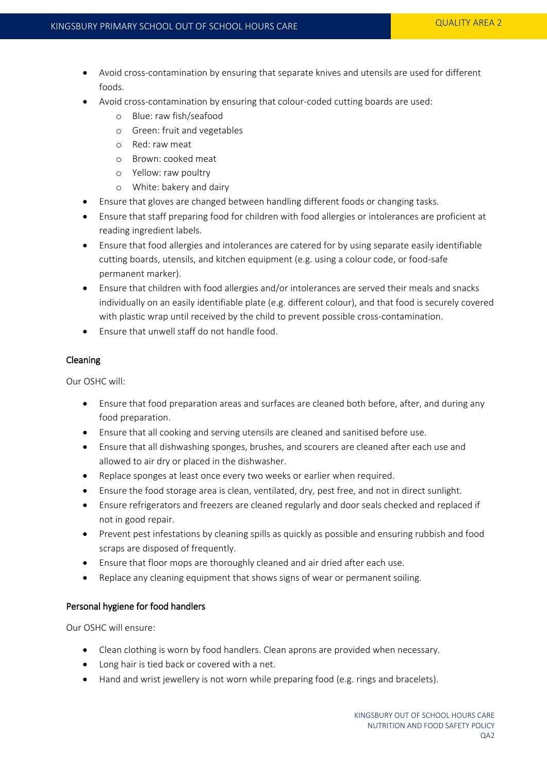- Avoid cross-contamination by ensuring that separate knives and utensils are used for different foods.
- Avoid cross-contamination by ensuring that colour-coded cutting boards are used:
	- o Blue: raw fish/seafood
	- o Green: fruit and vegetables
	- o Red: raw meat
	- o Brown: cooked meat
	- o Yellow: raw poultry
	- o White: bakery and dairy
- Ensure that gloves are changed between handling different foods or changing tasks.
- Ensure that staff preparing food for children with food allergies or intolerances are proficient at reading ingredient labels.
- Ensure that food allergies and intolerances are catered for by using separate easily identifiable cutting boards, utensils, and kitchen equipment (e.g. using a colour code, or food-safe permanent marker).
- Ensure that children with food allergies and/or intolerances are served their meals and snacks individually on an easily identifiable plate (e.g. different colour), and that food is securely covered with plastic wrap until received by the child to prevent possible cross-contamination.
- Ensure that unwell staff do not handle food.

# Cleaning

Our OSHC will:

- Ensure that food preparation areas and surfaces are cleaned both before, after, and during any food preparation.
- Ensure that all cooking and serving utensils are cleaned and sanitised before use.
- Ensure that all dishwashing sponges, brushes, and scourers are cleaned after each use and allowed to air dry or placed in the dishwasher.
- Replace sponges at least once every two weeks or earlier when required.
- Ensure the food storage area is clean, ventilated, dry, pest free, and not in direct sunlight.
- Ensure refrigerators and freezers are cleaned regularly and door seals checked and replaced if not in good repair.
- Prevent pest infestations by cleaning spills as quickly as possible and ensuring rubbish and food scraps are disposed of frequently.
- Ensure that floor mops are thoroughly cleaned and air dried after each use.
- Replace any cleaning equipment that shows signs of wear or permanent soiling.

#### Personal hygiene for food handlers

Our OSHC will ensure:

- Clean clothing is worn by food handlers. Clean aprons are provided when necessary.
- Long hair is tied back or covered with a net.
- Hand and wrist jewellery is not worn while preparing food (e.g. rings and bracelets).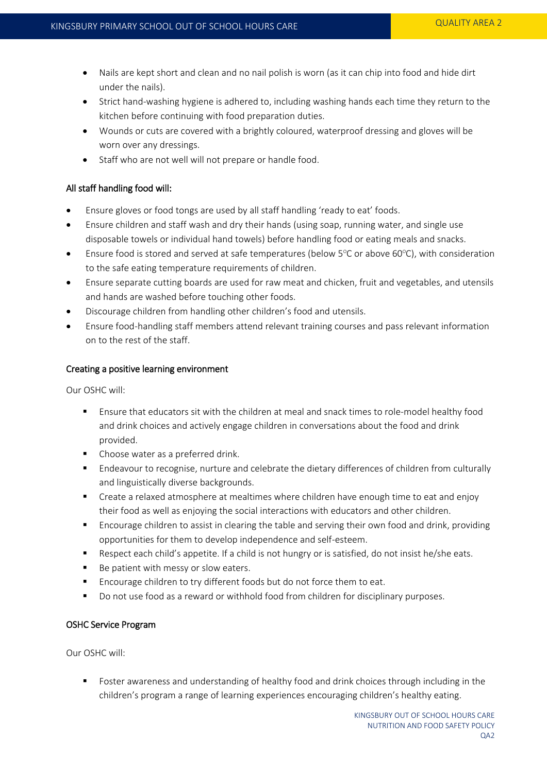- Nails are kept short and clean and no nail polish is worn (as it can chip into food and hide dirt under the nails).
- Strict hand-washing hygiene is adhered to, including washing hands each time they return to the kitchen before continuing with food preparation duties.
- Wounds or cuts are covered with a brightly coloured, waterproof dressing and gloves will be worn over any dressings.
- Staff who are not well will not prepare or handle food.

# All staff handling food will:

- Ensure gloves or food tongs are used by all staff handling 'ready to eat' foods.
- Ensure children and staff wash and dry their hands (using soap, running water, and single use disposable towels or individual hand towels) before handling food or eating meals and snacks.
- Ensure food is stored and served at safe temperatures (below  $5^{\circ}$ C or above 60 $^{\circ}$ C), with consideration to the safe eating temperature requirements of children.
- Ensure separate cutting boards are used for raw meat and chicken, fruit and vegetables, and utensils and hands are washed before touching other foods.
- Discourage children from handling other children's food and utensils.
- Ensure food-handling staff members attend relevant training courses and pass relevant information on to the rest of the staff.

# Creating a positive learning environment

Our OSHC will:

- Ensure that educators sit with the children at meal and snack times to role-model healthy food and drink choices and actively engage children in conversations about the food and drink provided.
- Choose water as a preferred drink.
- Endeavour to recognise, nurture and celebrate the dietary differences of children from culturally and linguistically diverse backgrounds.
- Create a relaxed atmosphere at mealtimes where children have enough time to eat and enjoy their food as well as enjoying the social interactions with educators and other children.
- Encourage children to assist in clearing the table and serving their own food and drink, providing opportunities for them to develop independence and self-esteem.
- Respect each child's appetite. If a child is not hungry or is satisfied, do not insist he/she eats.
- Be patient with messy or slow eaters.
- **Encourage children to try different foods but do not force them to eat.**
- Do not use food as a reward or withhold food from children for disciplinary purposes.

# OSHC Service Program

Our OSHC will:

 Foster awareness and understanding of healthy food and drink choices through including in the children's program a range of learning experiences encouraging children's healthy eating.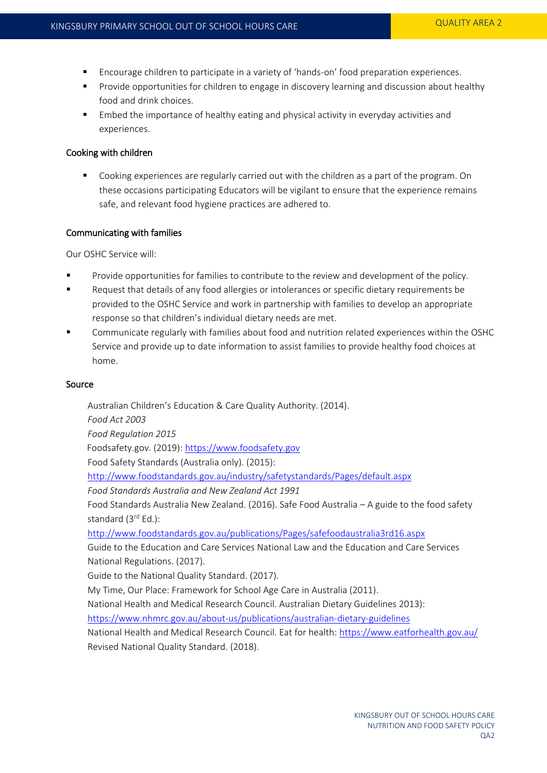- Encourage children to participate in a variety of 'hands-on' food preparation experiences.
- **Provide opportunities for children to engage in discovery learning and discussion about healthy** food and drink choices.
- Embed the importance of healthy eating and physical activity in everyday activities and experiences.

#### Cooking with children

 Cooking experiences are regularly carried out with the children as a part of the program. On these occasions participating Educators will be vigilant to ensure that the experience remains safe, and relevant food hygiene practices are adhered to.

#### Communicating with families

Our OSHC Service will:

- **Provide opportunities for families to contribute to the review and development of the policy.**
- Request that details of any food allergies or intolerances or specific dietary requirements be provided to the OSHC Service and work in partnership with families to develop an appropriate response so that children's individual dietary needs are met.
- Communicate regularly with families about food and nutrition related experiences within the OSHC Service and provide up to date information to assist families to provide healthy food choices at home.

#### Source

Australian Children's Education & Care Quality Authority. (2014). *Food Act 2003 Food Regulation 2015* Foodsafety.gov. (2019): [https://www.foodsafety.gov](https://www.foodsafety.gov/) Food Safety Standards (Australia only). (2015): <http://www.foodstandards.gov.au/industry/safetystandards/Pages/default.aspx> *Food Standards Australia and New Zealand Act 1991* Food Standards Australia New Zealand. (2016). Safe Food Australia – A guide to the food safety standard (3<sup>rd</sup> Ed.): <http://www.foodstandards.gov.au/publications/Pages/safefoodaustralia3rd16.aspx> Guide to the Education and Care Services National Law and the Education and Care Services National Regulations. (2017). Guide to the National Quality Standard. (2017). My Time, Our Place: Framework for School Age Care in Australia (2011). National Health and Medical Research Council. Australian Dietary Guidelines 2013): <https://www.nhmrc.gov.au/about-us/publications/australian-dietary-guidelines> National Health and Medical Research Council. Eat for health:<https://www.eatforhealth.gov.au/> Revised National Quality Standard. (2018).